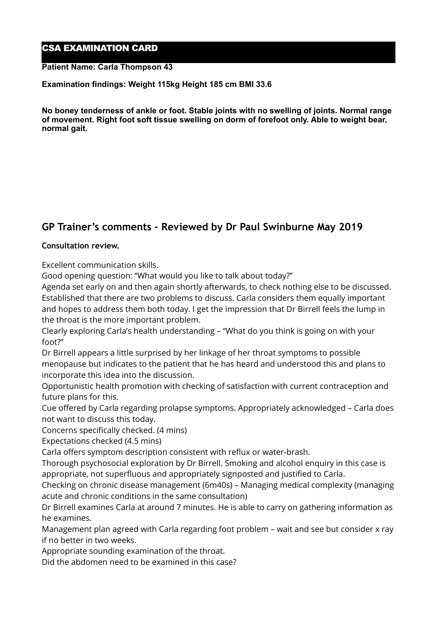## CSA EXAMINATION CARD

### **Patient Name: Carla Thompson 43**

### **Examination findings: Weight 115kg Height 185 cm BMI 33.6**

**No boney tenderness of ankle or foot. Stable joints with no swelling of joints. Normal range of movement. Right foot soft tissue swelling on dorm of forefoot only. Able to weight bear, normal gait.** 

# **GP Trainer's comments - Reviewed by Dr Paul Swinburne May 2019**

### **Consultation review.**

Excellent communication skills.

Good opening question: "What would you like to talk about today?"

Agenda set early on and then again shortly afterwards, to check nothing else to be discussed. Established that there are two problems to discuss. Carla considers them equally important and hopes to address them both today. I get the impression that Dr Birrell feels the lump in the throat is the more important problem.

Clearly exploring Carla's health understanding – "What do you think is going on with your foot?"

Dr Birrell appears a little surprised by her linkage of her throat symptoms to possible menopause but indicates to the patient that he has heard and understood this and plans to incorporate this idea into the discussion.

Opportunistic health promotion with checking of satisfaction with current contraception and future plans for this.

Cue offered by Carla regarding prolapse symptoms. Appropriately acknowledged – Carla does not want to discuss this today.

Concerns specifically checked. (4 mins)

Expectations checked (4.5 mins)

Carla offers symptom description consistent with reflux or water-brash.

Thorough psychosocial exploration by Dr Birrell. Smoking and alcohol enquiry in this case is appropriate, not superfluous and appropriately signposted and justified to Carla.

Checking on chronic disease management (6m40s) – Managing medical complexity (managing acute and chronic conditions in the same consultation)

Dr Birrell examines Carla at around 7 minutes. He is able to carry on gathering information as he examines.

Management plan agreed with Carla regarding foot problem – wait and see but consider x ray if no better in two weeks.

Appropriate sounding examination of the throat.

Did the abdomen need to be examined in this case?